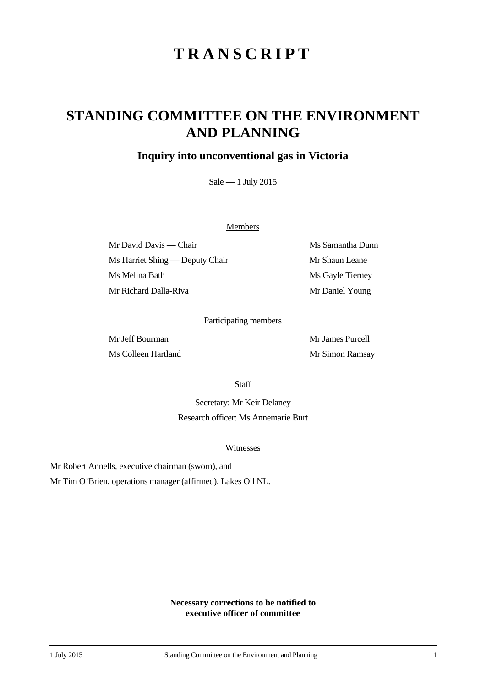# **TRANSCRIPT**

## **STANDING COMMITTEE ON THE ENVIRONMENT AND PLANNING**

### **Inquiry into unconventional gas in Victoria**

Sale — 1 July 2015

#### **Members**

Mr David Davis — Chair Ms Samantha Dunn Ms Harriet Shing — Deputy Chair Mr Shaun Leane Ms Melina Bath Ms Gayle Tierney Mr Richard Dalla-Riva Mr Daniel Young

#### Participating members

Ms Colleen Hartland Mr Simon Ramsay

Mr Jeff Bourman Mr James Purcell

**Staff** 

Secretary: Mr Keir Delaney Research officer: Ms Annemarie Burt

#### Witnesses

Mr Robert Annells, executive chairman (sworn), and

Mr Tim O'Brien, operations manager (affirmed), Lakes Oil NL.

**Necessary corrections to be notified to executive officer of committee**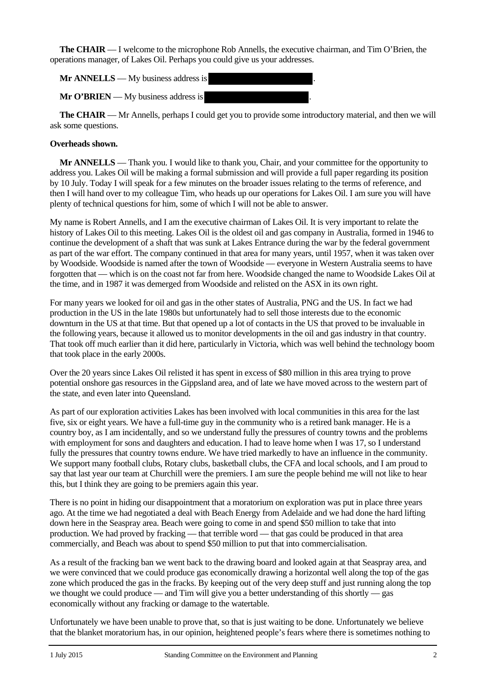**The CHAIR** — I welcome to the microphone Rob Annells, the executive chairman, and Tim O'Brien, the operations manager, of Lakes Oil. Perhaps you could give us your addresses.

**Mr ANNELLS** — My business address is .

**Mr O'BRIEN** — My business address is

**The CHAIR** — Mr Annells, perhaps I could get you to provide some introductory material, and then we will ask some questions.

#### **Overheads shown.**

**Mr ANNELLS** — Thank you. I would like to thank you, Chair, and your committee for the opportunity to address you. Lakes Oil will be making a formal submission and will provide a full paper regarding its position by 10 July. Today I will speak for a few minutes on the broader issues relating to the terms of reference, and then I will hand over to my colleague Tim, who heads up our operations for Lakes Oil. I am sure you will have plenty of technical questions for him, some of which I will not be able to answer.

My name is Robert Annells, and I am the executive chairman of Lakes Oil. It is very important to relate the history of Lakes Oil to this meeting. Lakes Oil is the oldest oil and gas company in Australia, formed in 1946 to continue the development of a shaft that was sunk at Lakes Entrance during the war by the federal government as part of the war effort. The company continued in that area for many years, until 1957, when it was taken over by Woodside. Woodside is named after the town of Woodside — everyone in Western Australia seems to have forgotten that — which is on the coast not far from here. Woodside changed the name to Woodside Lakes Oil at the time, and in 1987 it was demerged from Woodside and relisted on the ASX in its own right.

For many years we looked for oil and gas in the other states of Australia, PNG and the US. In fact we had production in the US in the late 1980s but unfortunately had to sell those interests due to the economic downturn in the US at that time. But that opened up a lot of contacts in the US that proved to be invaluable in the following years, because it allowed us to monitor developments in the oil and gas industry in that country. That took off much earlier than it did here, particularly in Victoria, which was well behind the technology boom that took place in the early 2000s.

Over the 20 years since Lakes Oil relisted it has spent in excess of \$80 million in this area trying to prove potential onshore gas resources in the Gippsland area, and of late we have moved across to the western part of the state, and even later into Queensland.

As part of our exploration activities Lakes has been involved with local communities in this area for the last five, six or eight years. We have a full-time guy in the community who is a retired bank manager. He is a country boy, as I am incidentally, and so we understand fully the pressures of country towns and the problems with employment for sons and daughters and education. I had to leave home when I was 17, so I understand fully the pressures that country towns endure. We have tried markedly to have an influence in the community. We support many football clubs, Rotary clubs, basketball clubs, the CFA and local schools, and I am proud to say that last year our team at Churchill were the premiers. I am sure the people behind me will not like to hear this, but I think they are going to be premiers again this year.

There is no point in hiding our disappointment that a moratorium on exploration was put in place three years ago. At the time we had negotiated a deal with Beach Energy from Adelaide and we had done the hard lifting down here in the Seaspray area. Beach were going to come in and spend \$50 million to take that into production. We had proved by fracking — that terrible word — that gas could be produced in that area commercially, and Beach was about to spend \$50 million to put that into commercialisation.

As a result of the fracking ban we went back to the drawing board and looked again at that Seaspray area, and we were convinced that we could produce gas economically drawing a horizontal well along the top of the gas zone which produced the gas in the fracks. By keeping out of the very deep stuff and just running along the top we thought we could produce — and Tim will give you a better understanding of this shortly — gas economically without any fracking or damage to the watertable.

Unfortunately we have been unable to prove that, so that is just waiting to be done. Unfortunately we believe that the blanket moratorium has, in our opinion, heightened people's fears where there is sometimes nothing to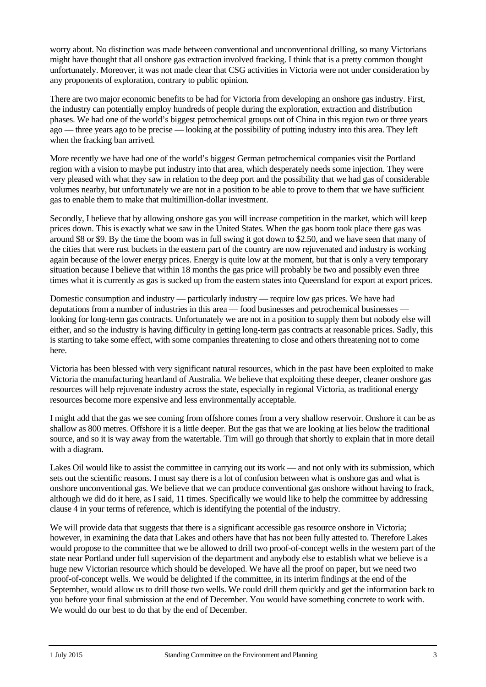worry about. No distinction was made between conventional and unconventional drilling, so many Victorians might have thought that all onshore gas extraction involved fracking. I think that is a pretty common thought unfortunately. Moreover, it was not made clear that CSG activities in Victoria were not under consideration by any proponents of exploration, contrary to public opinion.

There are two major economic benefits to be had for Victoria from developing an onshore gas industry. First, the industry can potentially employ hundreds of people during the exploration, extraction and distribution phases. We had one of the world's biggest petrochemical groups out of China in this region two or three years ago — three years ago to be precise — looking at the possibility of putting industry into this area. They left when the fracking ban arrived.

More recently we have had one of the world's biggest German petrochemical companies visit the Portland region with a vision to maybe put industry into that area, which desperately needs some injection. They were very pleased with what they saw in relation to the deep port and the possibility that we had gas of considerable volumes nearby, but unfortunately we are not in a position to be able to prove to them that we have sufficient gas to enable them to make that multimillion-dollar investment.

Secondly, I believe that by allowing onshore gas you will increase competition in the market, which will keep prices down. This is exactly what we saw in the United States. When the gas boom took place there gas was around \$8 or \$9. By the time the boom was in full swing it got down to \$2.50, and we have seen that many of the cities that were rust buckets in the eastern part of the country are now rejuvenated and industry is working again because of the lower energy prices. Energy is quite low at the moment, but that is only a very temporary situation because I believe that within 18 months the gas price will probably be two and possibly even three times what it is currently as gas is sucked up from the eastern states into Queensland for export at export prices.

Domestic consumption and industry — particularly industry — require low gas prices. We have had deputations from a number of industries in this area — food businesses and petrochemical businesses looking for long-term gas contracts. Unfortunately we are not in a position to supply them but nobody else will either, and so the industry is having difficulty in getting long-term gas contracts at reasonable prices. Sadly, this is starting to take some effect, with some companies threatening to close and others threatening not to come here.

Victoria has been blessed with very significant natural resources, which in the past have been exploited to make Victoria the manufacturing heartland of Australia. We believe that exploiting these deeper, cleaner onshore gas resources will help rejuvenate industry across the state, especially in regional Victoria, as traditional energy resources become more expensive and less environmentally acceptable.

I might add that the gas we see coming from offshore comes from a very shallow reservoir. Onshore it can be as shallow as 800 metres. Offshore it is a little deeper. But the gas that we are looking at lies below the traditional source, and so it is way away from the watertable. Tim will go through that shortly to explain that in more detail with a diagram.

Lakes Oil would like to assist the committee in carrying out its work — and not only with its submission, which sets out the scientific reasons. I must say there is a lot of confusion between what is onshore gas and what is onshore unconventional gas. We believe that we can produce conventional gas onshore without having to frack, although we did do it here, as I said, 11 times. Specifically we would like to help the committee by addressing clause 4 in your terms of reference, which is identifying the potential of the industry.

We will provide data that suggests that there is a significant accessible gas resource onshore in Victoria; however, in examining the data that Lakes and others have that has not been fully attested to. Therefore Lakes would propose to the committee that we be allowed to drill two proof-of-concept wells in the western part of the state near Portland under full supervision of the department and anybody else to establish what we believe is a huge new Victorian resource which should be developed. We have all the proof on paper, but we need two proof-of-concept wells. We would be delighted if the committee, in its interim findings at the end of the September, would allow us to drill those two wells. We could drill them quickly and get the information back to you before your final submission at the end of December. You would have something concrete to work with. We would do our best to do that by the end of December.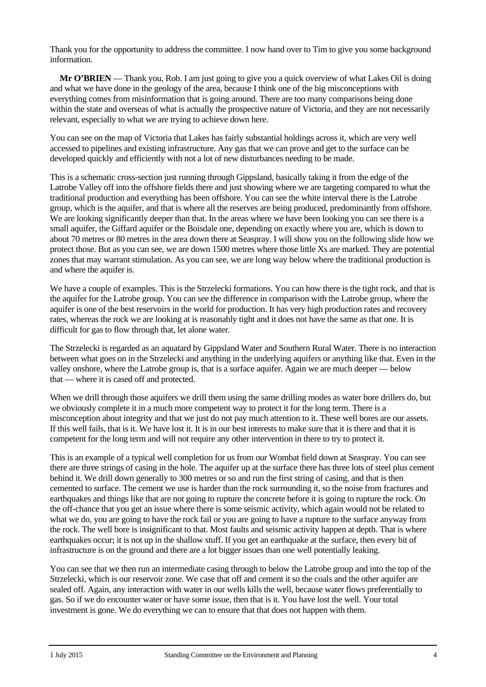Thank you for the opportunity to address the committee. I now hand over to Tim to give you some background information.

**Mr O'BRIEN** — Thank you, Rob. I am just going to give you a quick overview of what Lakes Oil is doing and what we have done in the geology of the area, because I think one of the big misconceptions with everything comes from misinformation that is going around. There are too many comparisons being done within the state and overseas of what is actually the prospective nature of Victoria, and they are not necessarily relevant, especially to what we are trying to achieve down here.

You can see on the map of Victoria that Lakes has fairly substantial holdings across it, which are very well accessed to pipelines and existing infrastructure. Any gas that we can prove and get to the surface can be developed quickly and efficiently with not a lot of new disturbances needing to be made.

This is a schematic cross-section just running through Gippsland, basically taking it from the edge of the Latrobe Valley off into the offshore fields there and just showing where we are targeting compared to what the traditional production and everything has been offshore. You can see the white interval there is the Latrobe group, which is the aquifer, and that is where all the reserves are being produced, predominantly from offshore. We are looking significantly deeper than that. In the areas where we have been looking you can see there is a small aquifer, the Giffard aquifer or the Boisdale one, depending on exactly where you are, which is down to about 70 metres or 80 metres in the area down there at Seaspray. I will show you on the following slide how we protect those. But as you can see, we are down 1500 metres where those little Xs are marked. They are potential zones that may warrant stimulation. As you can see, we are long way below where the traditional production is and where the aquifer is.

We have a couple of examples. This is the Strzelecki formations. You can how there is the tight rock, and that is the aquifer for the Latrobe group. You can see the difference in comparison with the Latrobe group, where the aquifer is one of the best reservoirs in the world for production. It has very high production rates and recovery rates, whereas the rock we are looking at is reasonably tight and it does not have the same as that one. It is difficult for gas to flow through that, let alone water.

The Strzelecki is regarded as an aquatard by Gippsland Water and Southern Rural Water. There is no interaction between what goes on in the Strzelecki and anything in the underlying aquifers or anything like that. Even in the valley onshore, where the Latrobe group is, that is a surface aquifer. Again we are much deeper — below that — where it is cased off and protected.

When we drill through those aquifers we drill them using the same drilling modes as water bore drillers do, but we obviously complete it in a much more competent way to protect it for the long term. There is a misconception about integrity and that we just do not pay much attention to it. These well bores are our assets. If this well fails, that is it. We have lost it. It is in our best interests to make sure that it is there and that it is competent for the long term and will not require any other intervention in there to try to protect it.

This is an example of a typical well completion for us from our Wombat field down at Seaspray. You can see there are three strings of casing in the hole. The aquifer up at the surface there has three lots of steel plus cement behind it. We drill down generally to 300 metres or so and run the first string of casing, and that is then cemented to surface. The cement we use is harder than the rock surrounding it, so the noise from fractures and earthquakes and things like that are not going to rupture the concrete before it is going to rupture the rock. On the off-chance that you get an issue where there is some seismic activity, which again would not be related to what we do, you are going to have the rock fail or you are going to have a rupture to the surface anyway from the rock. The well bore is insignificant to that. Most faults and seismic activity happen at depth. That is where earthquakes occur; it is not up in the shallow stuff. If you get an earthquake at the surface, then every bit of infrastructure is on the ground and there are a lot bigger issues than one well potentially leaking.

You can see that we then run an intermediate casing through to below the Latrobe group and into the top of the Strzelecki, which is our reservoir zone. We case that off and cement it so the coals and the other aquifer are sealed off. Again, any interaction with water in our wells kills the well, because water flows preferentially to gas. So if we do encounter water or have some issue, then that is it. You have lost the well. Your total investment is gone. We do everything we can to ensure that that does not happen with them.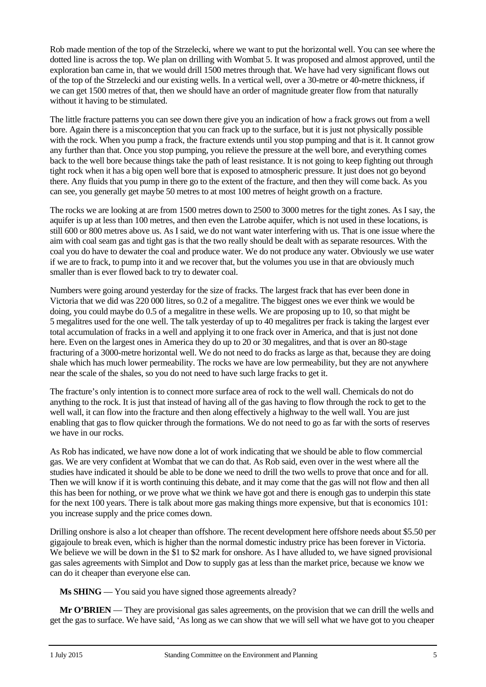Rob made mention of the top of the Strzelecki, where we want to put the horizontal well. You can see where the dotted line is across the top. We plan on drilling with Wombat 5. It was proposed and almost approved, until the exploration ban came in, that we would drill 1500 metres through that. We have had very significant flows out of the top of the Strzelecki and our existing wells. In a vertical well, over a 30-metre or 40-metre thickness, if we can get 1500 metres of that, then we should have an order of magnitude greater flow from that naturally without it having to be stimulated.

The little fracture patterns you can see down there give you an indication of how a frack grows out from a well bore. Again there is a misconception that you can frack up to the surface, but it is just not physically possible with the rock. When you pump a frack, the fracture extends until you stop pumping and that is it. It cannot grow any further than that. Once you stop pumping, you relieve the pressure at the well bore, and everything comes back to the well bore because things take the path of least resistance. It is not going to keep fighting out through tight rock when it has a big open well bore that is exposed to atmospheric pressure. It just does not go beyond there. Any fluids that you pump in there go to the extent of the fracture, and then they will come back. As you can see, you generally get maybe 50 metres to at most 100 metres of height growth on a fracture.

The rocks we are looking at are from 1500 metres down to 2500 to 3000 metres for the tight zones. As I say, the aquifer is up at less than 100 metres, and then even the Latrobe aquifer, which is not used in these locations, is still 600 or 800 metres above us. As I said, we do not want water interfering with us. That is one issue where the aim with coal seam gas and tight gas is that the two really should be dealt with as separate resources. With the coal you do have to dewater the coal and produce water. We do not produce any water. Obviously we use water if we are to frack, to pump into it and we recover that, but the volumes you use in that are obviously much smaller than is ever flowed back to try to dewater coal.

Numbers were going around yesterday for the size of fracks. The largest frack that has ever been done in Victoria that we did was 220 000 litres, so 0.2 of a megalitre. The biggest ones we ever think we would be doing, you could maybe do 0.5 of a megalitre in these wells. We are proposing up to 10, so that might be 5 megalitres used for the one well. The talk yesterday of up to 40 megalitres per frack is taking the largest ever total accumulation of fracks in a well and applying it to one frack over in America, and that is just not done here. Even on the largest ones in America they do up to 20 or 30 megalitres, and that is over an 80-stage fracturing of a 3000-metre horizontal well. We do not need to do fracks as large as that, because they are doing shale which has much lower permeability. The rocks we have are low permeability, but they are not anywhere near the scale of the shales, so you do not need to have such large fracks to get it.

The fracture's only intention is to connect more surface area of rock to the well wall. Chemicals do not do anything to the rock. It is just that instead of having all of the gas having to flow through the rock to get to the well wall, it can flow into the fracture and then along effectively a highway to the well wall. You are just enabling that gas to flow quicker through the formations. We do not need to go as far with the sorts of reserves we have in our rocks.

As Rob has indicated, we have now done a lot of work indicating that we should be able to flow commercial gas. We are very confident at Wombat that we can do that. As Rob said, even over in the west where all the studies have indicated it should be able to be done we need to drill the two wells to prove that once and for all. Then we will know if it is worth continuing this debate, and it may come that the gas will not flow and then all this has been for nothing, or we prove what we think we have got and there is enough gas to underpin this state for the next 100 years. There is talk about more gas making things more expensive, but that is economics 101: you increase supply and the price comes down.

Drilling onshore is also a lot cheaper than offshore. The recent development here offshore needs about \$5.50 per gigajoule to break even, which is higher than the normal domestic industry price has been forever in Victoria. We believe we will be down in the \$1 to \$2 mark for onshore. As I have alluded to, we have signed provisional gas sales agreements with Simplot and Dow to supply gas at less than the market price, because we know we can do it cheaper than everyone else can.

**Ms SHING** — You said you have signed those agreements already?

**Mr O'BRIEN** — They are provisional gas sales agreements, on the provision that we can drill the wells and get the gas to surface. We have said, 'As long as we can show that we will sell what we have got to you cheaper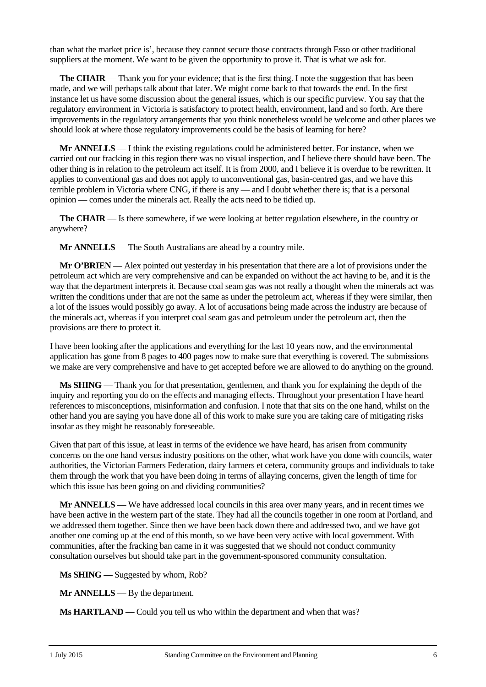than what the market price is', because they cannot secure those contracts through Esso or other traditional suppliers at the moment. We want to be given the opportunity to prove it. That is what we ask for.

**The CHAIR** — Thank you for your evidence; that is the first thing. I note the suggestion that has been made, and we will perhaps talk about that later. We might come back to that towards the end. In the first instance let us have some discussion about the general issues, which is our specific purview. You say that the regulatory environment in Victoria is satisfactory to protect health, environment, land and so forth. Are there improvements in the regulatory arrangements that you think nonetheless would be welcome and other places we should look at where those regulatory improvements could be the basis of learning for here?

**Mr ANNELLS** — I think the existing regulations could be administered better. For instance, when we carried out our fracking in this region there was no visual inspection, and I believe there should have been. The other thing is in relation to the petroleum act itself. It is from 2000, and I believe it is overdue to be rewritten. It applies to conventional gas and does not apply to unconventional gas, basin-centred gas, and we have this terrible problem in Victoria where CNG, if there is any — and I doubt whether there is; that is a personal opinion — comes under the minerals act. Really the acts need to be tidied up.

**The CHAIR** — Is there somewhere, if we were looking at better regulation elsewhere, in the country or anywhere?

**Mr ANNELLS** — The South Australians are ahead by a country mile.

**Mr O'BRIEN** — Alex pointed out yesterday in his presentation that there are a lot of provisions under the petroleum act which are very comprehensive and can be expanded on without the act having to be, and it is the way that the department interprets it. Because coal seam gas was not really a thought when the minerals act was written the conditions under that are not the same as under the petroleum act, whereas if they were similar, then a lot of the issues would possibly go away. A lot of accusations being made across the industry are because of the minerals act, whereas if you interpret coal seam gas and petroleum under the petroleum act, then the provisions are there to protect it.

I have been looking after the applications and everything for the last 10 years now, and the environmental application has gone from 8 pages to 400 pages now to make sure that everything is covered. The submissions we make are very comprehensive and have to get accepted before we are allowed to do anything on the ground.

**Ms SHING** — Thank you for that presentation, gentlemen, and thank you for explaining the depth of the inquiry and reporting you do on the effects and managing effects. Throughout your presentation I have heard references to misconceptions, misinformation and confusion. I note that that sits on the one hand, whilst on the other hand you are saying you have done all of this work to make sure you are taking care of mitigating risks insofar as they might be reasonably foreseeable.

Given that part of this issue, at least in terms of the evidence we have heard, has arisen from community concerns on the one hand versus industry positions on the other, what work have you done with councils, water authorities, the Victorian Farmers Federation, dairy farmers et cetera, community groups and individuals to take them through the work that you have been doing in terms of allaying concerns, given the length of time for which this issue has been going on and dividing communities?

**Mr ANNELLS** — We have addressed local councils in this area over many years, and in recent times we have been active in the western part of the state. They had all the councils together in one room at Portland, and we addressed them together. Since then we have been back down there and addressed two, and we have got another one coming up at the end of this month, so we have been very active with local government. With communities, after the fracking ban came in it was suggested that we should not conduct community consultation ourselves but should take part in the government-sponsored community consultation.

**Ms SHING** — Suggested by whom, Rob?

**Mr ANNELLS** — By the department.

**Ms HARTLAND** — Could you tell us who within the department and when that was?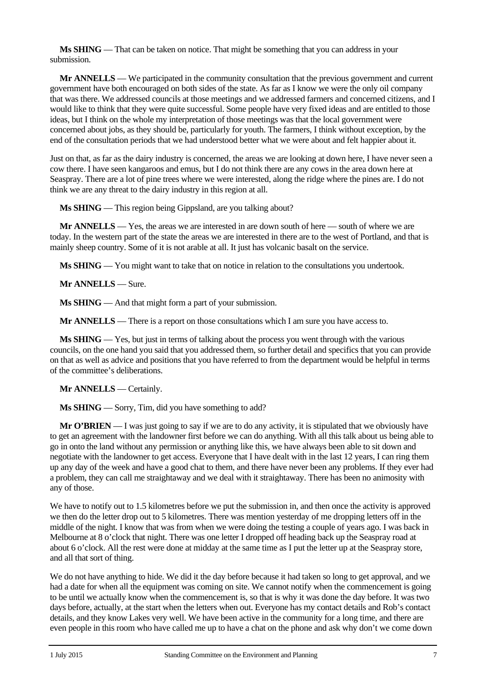**Ms SHING** — That can be taken on notice. That might be something that you can address in your submission.

**Mr ANNELLS** — We participated in the community consultation that the previous government and current government have both encouraged on both sides of the state. As far as I know we were the only oil company that was there. We addressed councils at those meetings and we addressed farmers and concerned citizens, and I would like to think that they were quite successful. Some people have very fixed ideas and are entitled to those ideas, but I think on the whole my interpretation of those meetings was that the local government were concerned about jobs, as they should be, particularly for youth. The farmers, I think without exception, by the end of the consultation periods that we had understood better what we were about and felt happier about it.

Just on that, as far as the dairy industry is concerned, the areas we are looking at down here, I have never seen a cow there. I have seen kangaroos and emus, but I do not think there are any cows in the area down here at Seaspray. There are a lot of pine trees where we were interested, along the ridge where the pines are. I do not think we are any threat to the dairy industry in this region at all.

**Ms SHING** — This region being Gippsland, are you talking about?

**Mr ANNELLS** — Yes, the areas we are interested in are down south of here — south of where we are today. In the western part of the state the areas we are interested in there are to the west of Portland, and that is mainly sheep country. Some of it is not arable at all. It just has volcanic basalt on the service.

**Ms SHING** — You might want to take that on notice in relation to the consultations you undertook.

**Mr ANNELLS** — Sure.

**Ms SHING** — And that might form a part of your submission.

**Mr ANNELLS** — There is a report on those consultations which I am sure you have access to.

**Ms SHING** — Yes, but just in terms of talking about the process you went through with the various councils, on the one hand you said that you addressed them, so further detail and specifics that you can provide on that as well as advice and positions that you have referred to from the department would be helpful in terms of the committee's deliberations.

**Mr ANNELLS** — Certainly.

**Ms SHING** — Sorry, Tim, did you have something to add?

**Mr O'BRIEN** — I was just going to say if we are to do any activity, it is stipulated that we obviously have to get an agreement with the landowner first before we can do anything. With all this talk about us being able to go in onto the land without any permission or anything like this, we have always been able to sit down and negotiate with the landowner to get access. Everyone that I have dealt with in the last 12 years, I can ring them up any day of the week and have a good chat to them, and there have never been any problems. If they ever had a problem, they can call me straightaway and we deal with it straightaway. There has been no animosity with any of those.

We have to notify out to 1.5 kilometres before we put the submission in, and then once the activity is approved we then do the letter drop out to 5 kilometres. There was mention yesterday of me dropping letters off in the middle of the night. I know that was from when we were doing the testing a couple of years ago. I was back in Melbourne at 8 o'clock that night. There was one letter I dropped off heading back up the Seaspray road at about 6 o'clock. All the rest were done at midday at the same time as I put the letter up at the Seaspray store, and all that sort of thing.

We do not have anything to hide. We did it the day before because it had taken so long to get approval, and we had a date for when all the equipment was coming on site. We cannot notify when the commencement is going to be until we actually know when the commencement is, so that is why it was done the day before. It was two days before, actually, at the start when the letters when out. Everyone has my contact details and Rob's contact details, and they know Lakes very well. We have been active in the community for a long time, and there are even people in this room who have called me up to have a chat on the phone and ask why don't we come down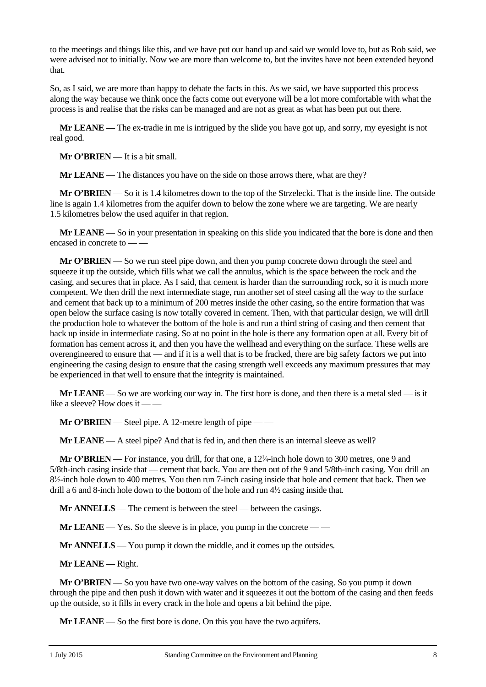to the meetings and things like this, and we have put our hand up and said we would love to, but as Rob said, we were advised not to initially. Now we are more than welcome to, but the invites have not been extended beyond that.

So, as I said, we are more than happy to debate the facts in this. As we said, we have supported this process along the way because we think once the facts come out everyone will be a lot more comfortable with what the process is and realise that the risks can be managed and are not as great as what has been put out there.

**Mr LEANE** — The ex-tradie in me is intrigued by the slide you have got up, and sorry, my eyesight is not real good.

**Mr O'BRIEN** — It is a bit small.

**Mr LEANE** — The distances you have on the side on those arrows there, what are they?

**Mr O'BRIEN** — So it is 1.4 kilometres down to the top of the Strzelecki. That is the inside line. The outside line is again 1.4 kilometres from the aquifer down to below the zone where we are targeting. We are nearly 1.5 kilometres below the used aquifer in that region.

**Mr LEANE** — So in your presentation in speaking on this slide you indicated that the bore is done and then encased in concrete to — —

**Mr O'BRIEN** — So we run steel pipe down, and then you pump concrete down through the steel and squeeze it up the outside, which fills what we call the annulus, which is the space between the rock and the casing, and secures that in place. As I said, that cement is harder than the surrounding rock, so it is much more competent. We then drill the next intermediate stage, run another set of steel casing all the way to the surface and cement that back up to a minimum of 200 metres inside the other casing, so the entire formation that was open below the surface casing is now totally covered in cement. Then, with that particular design, we will drill the production hole to whatever the bottom of the hole is and run a third string of casing and then cement that back up inside in intermediate casing. So at no point in the hole is there any formation open at all. Every bit of formation has cement across it, and then you have the wellhead and everything on the surface. These wells are overengineered to ensure that — and if it is a well that is to be fracked, there are big safety factors we put into engineering the casing design to ensure that the casing strength well exceeds any maximum pressures that may be experienced in that well to ensure that the integrity is maintained.

**Mr LEANE** — So we are working our way in. The first bore is done, and then there is a metal sled — is it like a sleeve? How does it — —

**Mr O'BRIEN** — Steel pipe. A 12-metre length of pipe — —

**Mr LEANE** — A steel pipe? And that is fed in, and then there is an internal sleeve as well?

Mr O'BRIEN — For instance, you drill, for that one, a 12<sup>1</sup>/<sub>4</sub>-inch hole down to 300 metres, one 9 and 5/8th-inch casing inside that — cement that back. You are then out of the 9 and 5/8th-inch casing. You drill an 8<sup>1</sup>/<sub>2</sub>-inch hole down to 400 metres. You then run 7-inch casing inside that hole and cement that back. Then we drill a 6 and 8-inch hole down to the bottom of the hole and run  $4\frac{1}{2}$  casing inside that.

**Mr ANNELLS** — The cement is between the steel — between the casings.

**Mr LEANE** — Yes. So the sleeve is in place, you pump in the concrete — —

**Mr ANNELLS** — You pump it down the middle, and it comes up the outsides.

**Mr LEANE** — Right.

**Mr O'BRIEN** — So you have two one-way valves on the bottom of the casing. So you pump it down through the pipe and then push it down with water and it squeezes it out the bottom of the casing and then feeds up the outside, so it fills in every crack in the hole and opens a bit behind the pipe.

**Mr LEANE** — So the first bore is done. On this you have the two aquifers.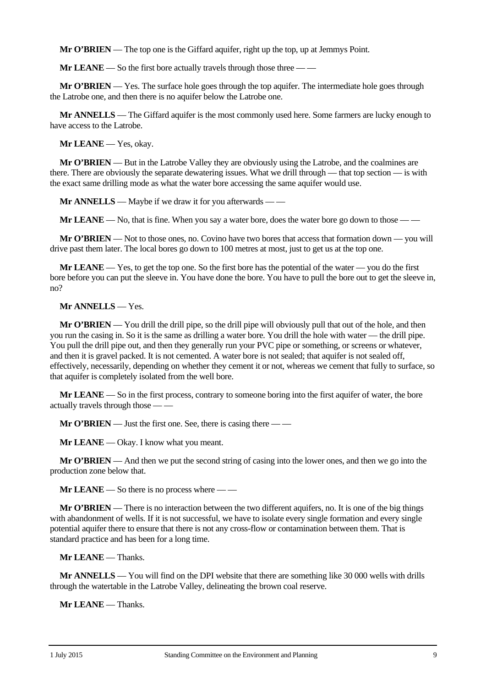**Mr O'BRIEN** — The top one is the Giffard aquifer, right up the top, up at Jemmys Point.

**Mr LEANE** — So the first bore actually travels through those three — —

**Mr O'BRIEN** — Yes. The surface hole goes through the top aquifer. The intermediate hole goes through the Latrobe one, and then there is no aquifer below the Latrobe one.

**Mr ANNELLS** — The Giffard aquifer is the most commonly used here. Some farmers are lucky enough to have access to the Latrobe.

**Mr LEANE** — Yes, okay.

**Mr O'BRIEN** — But in the Latrobe Valley they are obviously using the Latrobe, and the coalmines are there. There are obviously the separate dewatering issues. What we drill through — that top section — is with the exact same drilling mode as what the water bore accessing the same aquifer would use.

**Mr ANNELLS** — Maybe if we draw it for you afterwards — —

**Mr LEANE** — No, that is fine. When you say a water bore, does the water bore go down to those — —

**Mr O'BRIEN** — Not to those ones, no. Covino have two bores that access that formation down — you will drive past them later. The local bores go down to 100 metres at most, just to get us at the top one.

**Mr LEANE** — Yes, to get the top one. So the first bore has the potential of the water — you do the first bore before you can put the sleeve in. You have done the bore. You have to pull the bore out to get the sleeve in, no?

#### **Mr ANNELLS** — Yes.

**Mr O'BRIEN** — You drill the drill pipe, so the drill pipe will obviously pull that out of the hole, and then you run the casing in. So it is the same as drilling a water bore. You drill the hole with water — the drill pipe. You pull the drill pipe out, and then they generally run your PVC pipe or something, or screens or whatever, and then it is gravel packed. It is not cemented. A water bore is not sealed; that aquifer is not sealed off, effectively, necessarily, depending on whether they cement it or not, whereas we cement that fully to surface, so that aquifer is completely isolated from the well bore.

**Mr LEANE** — So in the first process, contrary to someone boring into the first aquifer of water, the bore actually travels through those — —

**Mr O'BRIEN** — Just the first one. See, there is casing there — —

**Mr LEANE** — Okay. I know what you meant.

**Mr O'BRIEN** — And then we put the second string of casing into the lower ones, and then we go into the production zone below that.

**Mr LEANE** — So there is no process where — —

**Mr O'BRIEN** — There is no interaction between the two different aquifers, no. It is one of the big things with abandonment of wells. If it is not successful, we have to isolate every single formation and every single potential aquifer there to ensure that there is not any cross-flow or contamination between them. That is standard practice and has been for a long time.

**Mr LEANE** — Thanks.

**Mr ANNELLS** — You will find on the DPI website that there are something like 30 000 wells with drills through the watertable in the Latrobe Valley, delineating the brown coal reserve.

**Mr LEANE** — Thanks.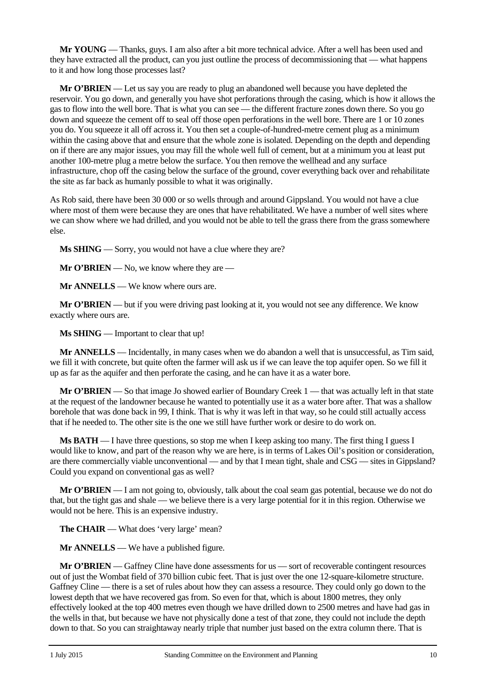**Mr YOUNG** — Thanks, guys. I am also after a bit more technical advice. After a well has been used and they have extracted all the product, can you just outline the process of decommissioning that — what happens to it and how long those processes last?

**Mr O'BRIEN** — Let us say you are ready to plug an abandoned well because you have depleted the reservoir. You go down, and generally you have shot perforations through the casing, which is how it allows the gas to flow into the well bore. That is what you can see — the different fracture zones down there. So you go down and squeeze the cement off to seal off those open perforations in the well bore. There are 1 or 10 zones you do. You squeeze it all off across it. You then set a couple-of-hundred-metre cement plug as a minimum within the casing above that and ensure that the whole zone is isolated. Depending on the depth and depending on if there are any major issues, you may fill the whole well full of cement, but at a minimum you at least put another 100-metre plug a metre below the surface. You then remove the wellhead and any surface infrastructure, chop off the casing below the surface of the ground, cover everything back over and rehabilitate the site as far back as humanly possible to what it was originally.

As Rob said, there have been 30 000 or so wells through and around Gippsland. You would not have a clue where most of them were because they are ones that have rehabilitated. We have a number of well sites where we can show where we had drilled, and you would not be able to tell the grass there from the grass somewhere else.

**Ms SHING** — Sorry, you would not have a clue where they are?

**Mr O'BRIEN** — No, we know where they are —

**Mr ANNELLS** — We know where ours are.

**Mr O'BRIEN** — but if you were driving past looking at it, you would not see any difference. We know exactly where ours are.

**Ms SHING** — Important to clear that up!

**Mr ANNELLS** — Incidentally, in many cases when we do abandon a well that is unsuccessful, as Tim said, we fill it with concrete, but quite often the farmer will ask us if we can leave the top aquifer open. So we fill it up as far as the aquifer and then perforate the casing, and he can have it as a water bore.

**Mr O'BRIEN** — So that image Jo showed earlier of Boundary Creek 1 — that was actually left in that state at the request of the landowner because he wanted to potentially use it as a water bore after. That was a shallow borehole that was done back in 99, I think. That is why it was left in that way, so he could still actually access that if he needed to. The other site is the one we still have further work or desire to do work on.

**Ms BATH** — I have three questions, so stop me when I keep asking too many. The first thing I guess I would like to know, and part of the reason why we are here, is in terms of Lakes Oil's position or consideration, are there commercially viable unconventional — and by that I mean tight, shale and CSG — sites in Gippsland? Could you expand on conventional gas as well?

**Mr O'BRIEN** — I am not going to, obviously, talk about the coal seam gas potential, because we do not do that, but the tight gas and shale — we believe there is a very large potential for it in this region. Otherwise we would not be here. This is an expensive industry.

**The CHAIR** — What does 'very large' mean?

**Mr ANNELLS** — We have a published figure.

**Mr O'BRIEN** — Gaffney Cline have done assessments for us — sort of recoverable contingent resources out of just the Wombat field of 370 billion cubic feet. That is just over the one 12-square-kilometre structure. Gaffney Cline — there is a set of rules about how they can assess a resource. They could only go down to the lowest depth that we have recovered gas from. So even for that, which is about 1800 metres, they only effectively looked at the top 400 metres even though we have drilled down to 2500 metres and have had gas in the wells in that, but because we have not physically done a test of that zone, they could not include the depth down to that. So you can straightaway nearly triple that number just based on the extra column there. That is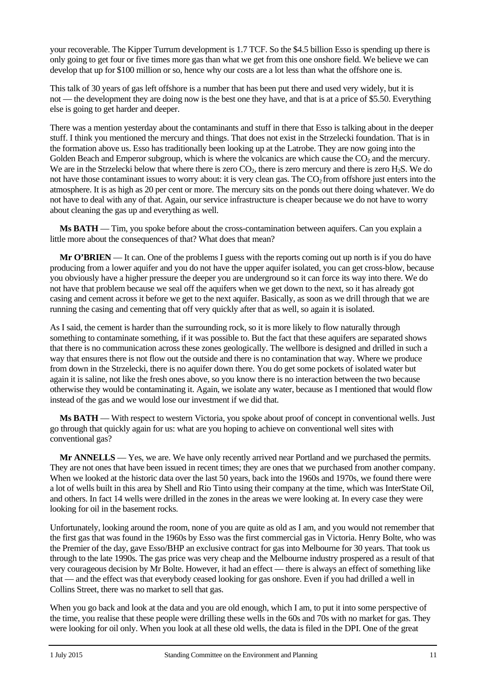your recoverable. The Kipper Turrum development is 1.7 TCF. So the \$4.5 billion Esso is spending up there is only going to get four or five times more gas than what we get from this one onshore field. We believe we can develop that up for \$100 million or so, hence why our costs are a lot less than what the offshore one is.

This talk of 30 years of gas left offshore is a number that has been put there and used very widely, but it is not — the development they are doing now is the best one they have, and that is at a price of \$5.50. Everything else is going to get harder and deeper.

There was a mention yesterday about the contaminants and stuff in there that Esso is talking about in the deeper stuff. I think you mentioned the mercury and things. That does not exist in the Strzelecki foundation. That is in the formation above us. Esso has traditionally been looking up at the Latrobe. They are now going into the Golden Beach and Emperor subgroup, which is where the volcanics are which cause the  $CO<sub>2</sub>$  and the mercury. We are in the Strzelecki below that where there is zero  $CO<sub>2</sub>$ , there is zero mercury and there is zero  $H<sub>2</sub>S$ . We do not have those contaminant issues to worry about: it is very clean gas. The  $CO<sub>2</sub>$  from offshore just enters into the atmosphere. It is as high as 20 per cent or more. The mercury sits on the ponds out there doing whatever. We do not have to deal with any of that. Again, our service infrastructure is cheaper because we do not have to worry about cleaning the gas up and everything as well.

**Ms BATH** — Tim, you spoke before about the cross-contamination between aquifers. Can you explain a little more about the consequences of that? What does that mean?

**Mr O'BRIEN** — It can. One of the problems I guess with the reports coming out up north is if you do have producing from a lower aquifer and you do not have the upper aquifer isolated, you can get cross-blow, because you obviously have a higher pressure the deeper you are underground so it can force its way into there. We do not have that problem because we seal off the aquifers when we get down to the next, so it has already got casing and cement across it before we get to the next aquifer. Basically, as soon as we drill through that we are running the casing and cementing that off very quickly after that as well, so again it is isolated.

As I said, the cement is harder than the surrounding rock, so it is more likely to flow naturally through something to contaminate something, if it was possible to. But the fact that these aquifers are separated shows that there is no communication across these zones geologically. The wellbore is designed and drilled in such a way that ensures there is not flow out the outside and there is no contamination that way. Where we produce from down in the Strzelecki, there is no aquifer down there. You do get some pockets of isolated water but again it is saline, not like the fresh ones above, so you know there is no interaction between the two because otherwise they would be contaminating it. Again, we isolate any water, because as I mentioned that would flow instead of the gas and we would lose our investment if we did that.

**Ms BATH** — With respect to western Victoria, you spoke about proof of concept in conventional wells. Just go through that quickly again for us: what are you hoping to achieve on conventional well sites with conventional gas?

**Mr ANNELLS** — Yes, we are. We have only recently arrived near Portland and we purchased the permits. They are not ones that have been issued in recent times; they are ones that we purchased from another company. When we looked at the historic data over the last 50 years, back into the 1960s and 1970s, we found there were a lot of wells built in this area by Shell and Rio Tinto using their company at the time, which was InterState Oil, and others. In fact 14 wells were drilled in the zones in the areas we were looking at. In every case they were looking for oil in the basement rocks.

Unfortunately, looking around the room, none of you are quite as old as I am, and you would not remember that the first gas that was found in the 1960s by Esso was the first commercial gas in Victoria. Henry Bolte, who was the Premier of the day, gave Esso/BHP an exclusive contract for gas into Melbourne for 30 years. That took us through to the late 1990s. The gas price was very cheap and the Melbourne industry prospered as a result of that very courageous decision by Mr Bolte. However, it had an effect — there is always an effect of something like that — and the effect was that everybody ceased looking for gas onshore. Even if you had drilled a well in Collins Street, there was no market to sell that gas.

When you go back and look at the data and you are old enough, which I am, to put it into some perspective of the time, you realise that these people were drilling these wells in the 60s and 70s with no market for gas. They were looking for oil only. When you look at all these old wells, the data is filed in the DPI. One of the great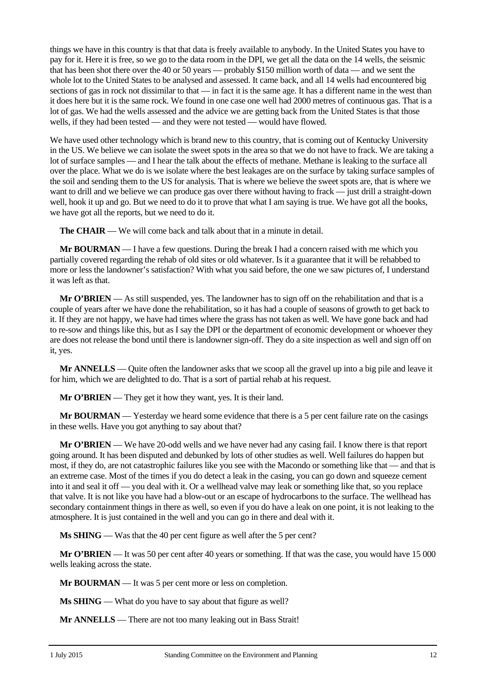things we have in this country is that that data is freely available to anybody. In the United States you have to pay for it. Here it is free, so we go to the data room in the DPI, we get all the data on the 14 wells, the seismic that has been shot there over the 40 or 50 years — probably \$150 million worth of data — and we sent the whole lot to the United States to be analysed and assessed. It came back, and all 14 wells had encountered big sections of gas in rock not dissimilar to that — in fact it is the same age. It has a different name in the west than it does here but it is the same rock. We found in one case one well had 2000 metres of continuous gas. That is a lot of gas. We had the wells assessed and the advice we are getting back from the United States is that those wells, if they had been tested — and they were not tested — would have flowed.

We have used other technology which is brand new to this country, that is coming out of Kentucky University in the US. We believe we can isolate the sweet spots in the area so that we do not have to frack. We are taking a lot of surface samples — and I hear the talk about the effects of methane. Methane is leaking to the surface all over the place. What we do is we isolate where the best leakages are on the surface by taking surface samples of the soil and sending them to the US for analysis. That is where we believe the sweet spots are, that is where we want to drill and we believe we can produce gas over there without having to frack — just drill a straight-down well, hook it up and go. But we need to do it to prove that what I am saying is true. We have got all the books, we have got all the reports, but we need to do it.

**The CHAIR** — We will come back and talk about that in a minute in detail.

**Mr BOURMAN** — I have a few questions. During the break I had a concern raised with me which you partially covered regarding the rehab of old sites or old whatever. Is it a guarantee that it will be rehabbed to more or less the landowner's satisfaction? With what you said before, the one we saw pictures of, I understand it was left as that.

**Mr O'BRIEN** — As still suspended, yes. The landowner has to sign off on the rehabilitation and that is a couple of years after we have done the rehabilitation, so it has had a couple of seasons of growth to get back to it. If they are not happy, we have had times where the grass has not taken as well. We have gone back and had to re-sow and things like this, but as I say the DPI or the department of economic development or whoever they are does not release the bond until there is landowner sign-off. They do a site inspection as well and sign off on it, yes.

**Mr ANNELLS** — Quite often the landowner asks that we scoop all the gravel up into a big pile and leave it for him, which we are delighted to do. That is a sort of partial rehab at his request.

**Mr O'BRIEN** — They get it how they want, yes. It is their land.

**Mr BOURMAN** — Yesterday we heard some evidence that there is a 5 per cent failure rate on the casings in these wells. Have you got anything to say about that?

**Mr O'BRIEN** — We have 20-odd wells and we have never had any casing fail. I know there is that report going around. It has been disputed and debunked by lots of other studies as well. Well failures do happen but most, if they do, are not catastrophic failures like you see with the Macondo or something like that — and that is an extreme case. Most of the times if you do detect a leak in the casing, you can go down and squeeze cement into it and seal it off — you deal with it. Or a wellhead valve may leak or something like that, so you replace that valve. It is not like you have had a blow-out or an escape of hydrocarbons to the surface. The wellhead has secondary containment things in there as well, so even if you do have a leak on one point, it is not leaking to the atmosphere. It is just contained in the well and you can go in there and deal with it.

**Ms SHING** — Was that the 40 per cent figure as well after the 5 per cent?

**Mr O'BRIEN** — It was 50 per cent after 40 years or something. If that was the case, you would have 15 000 wells leaking across the state.

**Mr BOURMAN** — It was 5 per cent more or less on completion.

**Ms SHING** — What do you have to say about that figure as well?

**Mr ANNELLS** — There are not too many leaking out in Bass Strait!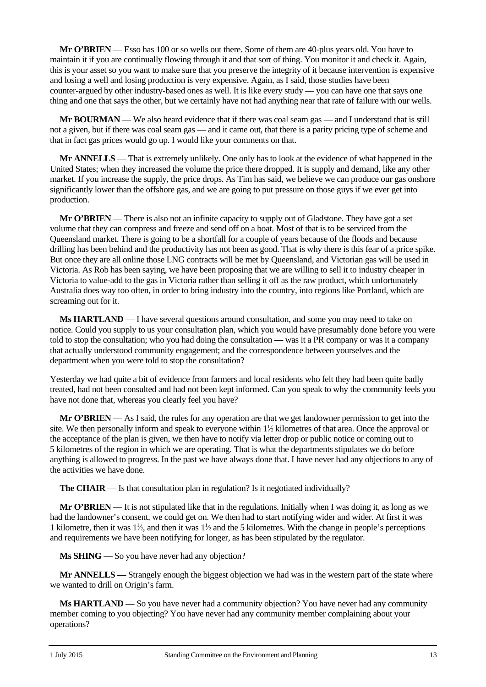**Mr O'BRIEN** — Esso has 100 or so wells out there. Some of them are 40-plus years old. You have to maintain it if you are continually flowing through it and that sort of thing. You monitor it and check it. Again, this is your asset so you want to make sure that you preserve the integrity of it because intervention is expensive and losing a well and losing production is very expensive. Again, as I said, those studies have been counter-argued by other industry-based ones as well. It is like every study — you can have one that says one thing and one that says the other, but we certainly have not had anything near that rate of failure with our wells.

**Mr BOURMAN** — We also heard evidence that if there was coal seam gas — and I understand that is still not a given, but if there was coal seam gas — and it came out, that there is a parity pricing type of scheme and that in fact gas prices would go up. I would like your comments on that.

**Mr ANNELLS** — That is extremely unlikely. One only has to look at the evidence of what happened in the United States; when they increased the volume the price there dropped. It is supply and demand, like any other market. If you increase the supply, the price drops. As Tim has said, we believe we can produce our gas onshore significantly lower than the offshore gas, and we are going to put pressure on those guys if we ever get into production.

**Mr O'BRIEN** — There is also not an infinite capacity to supply out of Gladstone. They have got a set volume that they can compress and freeze and send off on a boat. Most of that is to be serviced from the Queensland market. There is going to be a shortfall for a couple of years because of the floods and because drilling has been behind and the productivity has not been as good. That is why there is this fear of a price spike. But once they are all online those LNG contracts will be met by Queensland, and Victorian gas will be used in Victoria. As Rob has been saying, we have been proposing that we are willing to sell it to industry cheaper in Victoria to value-add to the gas in Victoria rather than selling it off as the raw product, which unfortunately Australia does way too often, in order to bring industry into the country, into regions like Portland, which are screaming out for it.

**Ms HARTLAND** — I have several questions around consultation, and some you may need to take on notice. Could you supply to us your consultation plan, which you would have presumably done before you were told to stop the consultation; who you had doing the consultation — was it a PR company or was it a company that actually understood community engagement; and the correspondence between yourselves and the department when you were told to stop the consultation?

Yesterday we had quite a bit of evidence from farmers and local residents who felt they had been quite badly treated, had not been consulted and had not been kept informed. Can you speak to why the community feels you have not done that, whereas you clearly feel you have?

**Mr O'BRIEN** — As I said, the rules for any operation are that we get landowner permission to get into the site. We then personally inform and speak to everyone within  $1/2$  kilometres of that area. Once the approval or the acceptance of the plan is given, we then have to notify via letter drop or public notice or coming out to 5 kilometres of the region in which we are operating. That is what the departments stipulates we do before anything is allowed to progress. In the past we have always done that. I have never had any objections to any of the activities we have done.

**The CHAIR** — Is that consultation plan in regulation? Is it negotiated individually?

**Mr O'BRIEN** — It is not stipulated like that in the regulations. Initially when I was doing it, as long as we had the landowner's consent, we could get on. We then had to start notifying wider and wider. At first it was 1 kilometre, then it was  $1/2$ , and then it was  $1/2$  and the 5 kilometres. With the change in people's perceptions and requirements we have been notifying for longer, as has been stipulated by the regulator.

**Ms SHING** — So you have never had any objection?

**Mr ANNELLS** — Strangely enough the biggest objection we had was in the western part of the state where we wanted to drill on Origin's farm.

**Ms HARTLAND** — So you have never had a community objection? You have never had any community member coming to you objecting? You have never had any community member complaining about your operations?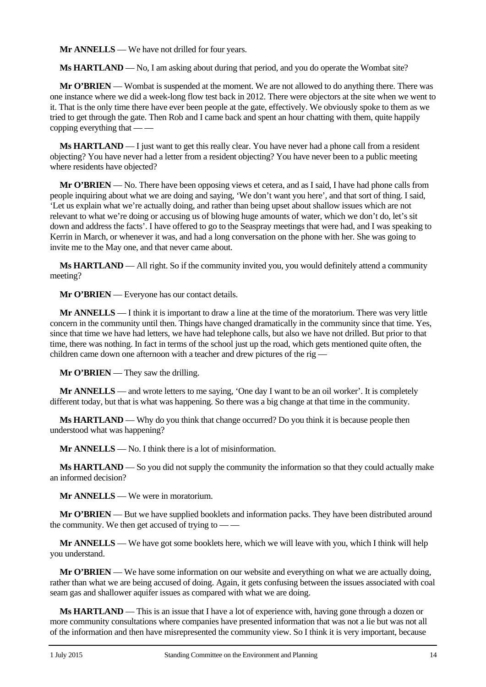**Mr ANNELLS** — We have not drilled for four years.

**Ms HARTLAND** — No, I am asking about during that period, and you do operate the Wombat site?

**Mr O'BRIEN** — Wombat is suspended at the moment. We are not allowed to do anything there. There was one instance where we did a week-long flow test back in 2012. There were objectors at the site when we went to it. That is the only time there have ever been people at the gate, effectively. We obviously spoke to them as we tried to get through the gate. Then Rob and I came back and spent an hour chatting with them, quite happily copping everything that — —

**Ms HARTLAND** — I just want to get this really clear. You have never had a phone call from a resident objecting? You have never had a letter from a resident objecting? You have never been to a public meeting where residents have objected?

**Mr O'BRIEN** — No. There have been opposing views et cetera, and as I said, I have had phone calls from people inquiring about what we are doing and saying, 'We don't want you here', and that sort of thing. I said, 'Let us explain what we're actually doing, and rather than being upset about shallow issues which are not relevant to what we're doing or accusing us of blowing huge amounts of water, which we don't do, let's sit down and address the facts'. I have offered to go to the Seaspray meetings that were had, and I was speaking to Kerrin in March, or whenever it was, and had a long conversation on the phone with her. She was going to invite me to the May one, and that never came about.

**Ms HARTLAND** — All right. So if the community invited you, you would definitely attend a community meeting?

**Mr O'BRIEN** — Everyone has our contact details.

**Mr ANNELLS** — I think it is important to draw a line at the time of the moratorium. There was very little concern in the community until then. Things have changed dramatically in the community since that time. Yes, since that time we have had letters, we have had telephone calls, but also we have not drilled. But prior to that time, there was nothing. In fact in terms of the school just up the road, which gets mentioned quite often, the children came down one afternoon with a teacher and drew pictures of the rig —

**Mr O'BRIEN** — They saw the drilling.

**Mr ANNELLS** — and wrote letters to me saying, 'One day I want to be an oil worker'. It is completely different today, but that is what was happening. So there was a big change at that time in the community.

**Ms HARTLAND** — Why do you think that change occurred? Do you think it is because people then understood what was happening?

**Mr ANNELLS** — No. I think there is a lot of misinformation.

**Ms HARTLAND** — So you did not supply the community the information so that they could actually make an informed decision?

**Mr ANNELLS** — We were in moratorium.

**Mr O'BRIEN** — But we have supplied booklets and information packs. They have been distributed around the community. We then get accused of trying to –

**Mr ANNELLS** — We have got some booklets here, which we will leave with you, which I think will help you understand.

**Mr O'BRIEN** — We have some information on our website and everything on what we are actually doing, rather than what we are being accused of doing. Again, it gets confusing between the issues associated with coal seam gas and shallower aquifer issues as compared with what we are doing.

**Ms HARTLAND** — This is an issue that I have a lot of experience with, having gone through a dozen or more community consultations where companies have presented information that was not a lie but was not all of the information and then have misrepresented the community view. So I think it is very important, because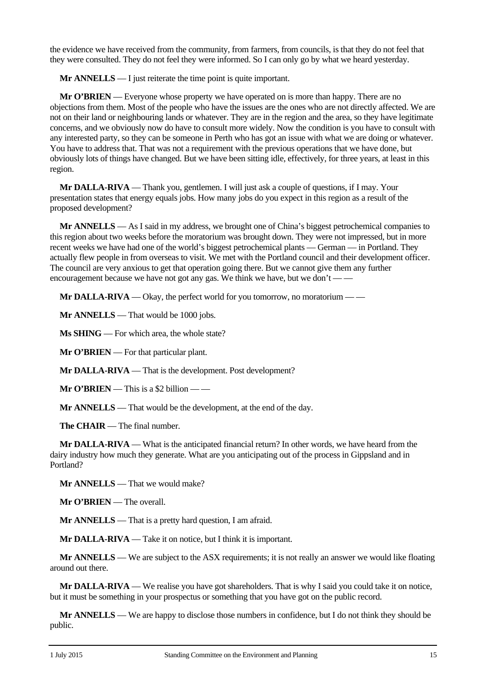the evidence we have received from the community, from farmers, from councils, is that they do not feel that they were consulted. They do not feel they were informed. So I can only go by what we heard yesterday.

**Mr ANNELLS** — I just reiterate the time point is quite important.

**Mr O'BRIEN** — Everyone whose property we have operated on is more than happy. There are no objections from them. Most of the people who have the issues are the ones who are not directly affected. We are not on their land or neighbouring lands or whatever. They are in the region and the area, so they have legitimate concerns, and we obviously now do have to consult more widely. Now the condition is you have to consult with any interested party, so they can be someone in Perth who has got an issue with what we are doing or whatever. You have to address that. That was not a requirement with the previous operations that we have done, but obviously lots of things have changed. But we have been sitting idle, effectively, for three years, at least in this region.

**Mr DALLA-RIVA** — Thank you, gentlemen. I will just ask a couple of questions, if I may. Your presentation states that energy equals jobs. How many jobs do you expect in this region as a result of the proposed development?

**Mr ANNELLS** — As I said in my address, we brought one of China's biggest petrochemical companies to this region about two weeks before the moratorium was brought down. They were not impressed, but in more recent weeks we have had one of the world's biggest petrochemical plants — German — in Portland. They actually flew people in from overseas to visit. We met with the Portland council and their development officer. The council are very anxious to get that operation going there. But we cannot give them any further encouragement because we have not got any gas. We think we have, but we don't  $\frac{1}{1}$ 

**Mr DALLA-RIVA** — Okay, the perfect world for you tomorrow, no moratorium — —

**Mr ANNELLS** — That would be 1000 jobs.

**Ms SHING** — For which area, the whole state?

**Mr O'BRIEN** — For that particular plant.

**Mr DALLA-RIVA** — That is the development. Post development?

**Mr O'BRIEN** — This is a \$2 billion — —

**Mr ANNELLS** — That would be the development, at the end of the day.

**The CHAIR** — The final number.

**Mr DALLA-RIVA** — What is the anticipated financial return? In other words, we have heard from the dairy industry how much they generate. What are you anticipating out of the process in Gippsland and in Portland?

**Mr ANNELLS** — That we would make?

**Mr O'BRIEN** — The overall.

**Mr ANNELLS** — That is a pretty hard question, I am afraid.

**Mr DALLA-RIVA** — Take it on notice, but I think it is important.

**Mr ANNELLS** — We are subject to the ASX requirements; it is not really an answer we would like floating around out there.

**Mr DALLA-RIVA** — We realise you have got shareholders. That is why I said you could take it on notice, but it must be something in your prospectus or something that you have got on the public record.

**Mr ANNELLS** — We are happy to disclose those numbers in confidence, but I do not think they should be public.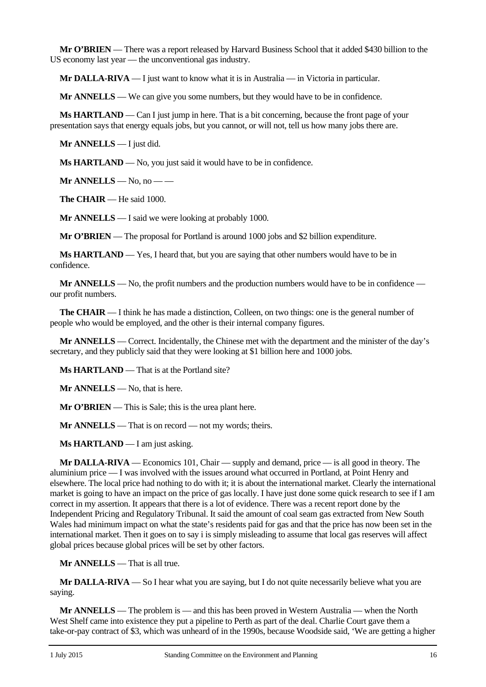**Mr O'BRIEN** — There was a report released by Harvard Business School that it added \$430 billion to the US economy last year — the unconventional gas industry.

**Mr DALLA-RIVA** — I just want to know what it is in Australia — in Victoria in particular.

**Mr ANNELLS** — We can give you some numbers, but they would have to be in confidence.

**Ms HARTLAND** — Can I just jump in here. That is a bit concerning, because the front page of your presentation says that energy equals jobs, but you cannot, or will not, tell us how many jobs there are.

**Mr ANNELLS** — I just did.

**Ms HARTLAND** — No, you just said it would have to be in confidence.

**Mr ANNELLS** — No, no — —

**The CHAIR** — He said 1000.

**Mr ANNELLS** — I said we were looking at probably 1000.

**Mr O'BRIEN** — The proposal for Portland is around 1000 jobs and \$2 billion expenditure.

**Ms HARTLAND** — Yes, I heard that, but you are saying that other numbers would have to be in confidence.

**Mr ANNELLS** — No, the profit numbers and the production numbers would have to be in confidence our profit numbers.

**The CHAIR** — I think he has made a distinction, Colleen, on two things: one is the general number of people who would be employed, and the other is their internal company figures.

**Mr ANNELLS** — Correct. Incidentally, the Chinese met with the department and the minister of the day's secretary, and they publicly said that they were looking at \$1 billion here and 1000 jobs.

**Ms HARTLAND** — That is at the Portland site?

**Mr ANNELLS** — No, that is here.

**Mr O'BRIEN** — This is Sale; this is the urea plant here.

**Mr ANNELLS** — That is on record — not my words; theirs.

**Ms HARTLAND** — I am just asking.

**Mr DALLA-RIVA** — Economics 101, Chair — supply and demand, price — is all good in theory. The aluminium price — I was involved with the issues around what occurred in Portland, at Point Henry and elsewhere. The local price had nothing to do with it; it is about the international market. Clearly the international market is going to have an impact on the price of gas locally. I have just done some quick research to see if I am correct in my assertion. It appears that there is a lot of evidence. There was a recent report done by the Independent Pricing and Regulatory Tribunal. It said the amount of coal seam gas extracted from New South Wales had minimum impact on what the state's residents paid for gas and that the price has now been set in the international market. Then it goes on to say i is simply misleading to assume that local gas reserves will affect global prices because global prices will be set by other factors.

**Mr ANNELLS** — That is all true.

**Mr DALLA-RIVA** — So I hear what you are saying, but I do not quite necessarily believe what you are saying.

**Mr ANNELLS** — The problem is — and this has been proved in Western Australia — when the North West Shelf came into existence they put a pipeline to Perth as part of the deal. Charlie Court gave them a take-or-pay contract of \$3, which was unheard of in the 1990s, because Woodside said, 'We are getting a higher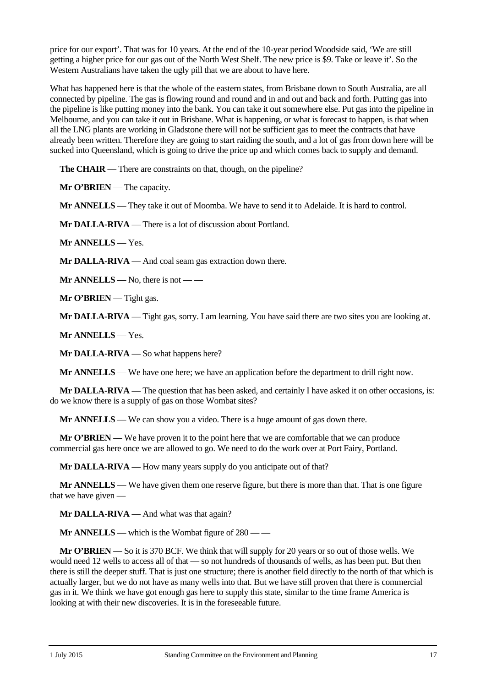price for our export'. That was for 10 years. At the end of the 10-year period Woodside said, 'We are still getting a higher price for our gas out of the North West Shelf. The new price is \$9. Take or leave it'. So the Western Australians have taken the ugly pill that we are about to have here.

What has happened here is that the whole of the eastern states, from Brisbane down to South Australia, are all connected by pipeline. The gas is flowing round and round and in and out and back and forth. Putting gas into the pipeline is like putting money into the bank. You can take it out somewhere else. Put gas into the pipeline in Melbourne, and you can take it out in Brisbane. What is happening, or what is forecast to happen, is that when all the LNG plants are working in Gladstone there will not be sufficient gas to meet the contracts that have already been written. Therefore they are going to start raiding the south, and a lot of gas from down here will be sucked into Queensland, which is going to drive the price up and which comes back to supply and demand.

**The CHAIR** — There are constraints on that, though, on the pipeline?

**Mr O'BRIEN** — The capacity.

**Mr ANNELLS** — They take it out of Moomba. We have to send it to Adelaide. It is hard to control.

**Mr DALLA-RIVA** — There is a lot of discussion about Portland.

**Mr ANNELLS** — Yes.

**Mr DALLA-RIVA** — And coal seam gas extraction down there.

**Mr ANNELLS** — No, there is not — —

**Mr O'BRIEN** — Tight gas.

**Mr DALLA-RIVA** — Tight gas, sorry. I am learning. You have said there are two sites you are looking at.

**Mr ANNELLS** — Yes.

**Mr DALLA-RIVA** — So what happens here?

**Mr ANNELLS** — We have one here; we have an application before the department to drill right now.

**Mr DALLA-RIVA** — The question that has been asked, and certainly I have asked it on other occasions, is: do we know there is a supply of gas on those Wombat sites?

**Mr ANNELLS** — We can show you a video. There is a huge amount of gas down there.

**Mr O'BRIEN** — We have proven it to the point here that we are comfortable that we can produce commercial gas here once we are allowed to go. We need to do the work over at Port Fairy, Portland.

**Mr DALLA-RIVA** — How many years supply do you anticipate out of that?

**Mr ANNELLS** — We have given them one reserve figure, but there is more than that. That is one figure that we have given —

**Mr DALLA-RIVA** — And what was that again?

**Mr ANNELLS** — which is the Wombat figure of 280 — —

**Mr O'BRIEN** — So it is 370 BCF. We think that will supply for 20 years or so out of those wells. We would need 12 wells to access all of that — so not hundreds of thousands of wells, as has been put. But then there is still the deeper stuff. That is just one structure; there is another field directly to the north of that which is actually larger, but we do not have as many wells into that. But we have still proven that there is commercial gas in it. We think we have got enough gas here to supply this state, similar to the time frame America is looking at with their new discoveries. It is in the foreseeable future.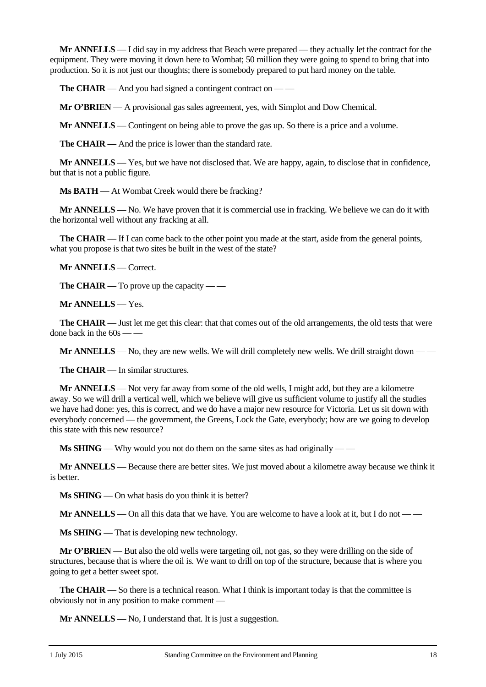**Mr ANNELLS** — I did say in my address that Beach were prepared — they actually let the contract for the equipment. They were moving it down here to Wombat; 50 million they were going to spend to bring that into production. So it is not just our thoughts; there is somebody prepared to put hard money on the table.

**The CHAIR** — And you had signed a contingent contract on –

**Mr O'BRIEN** — A provisional gas sales agreement, yes, with Simplot and Dow Chemical.

**Mr ANNELLS** — Contingent on being able to prove the gas up. So there is a price and a volume.

**The CHAIR** — And the price is lower than the standard rate.

**Mr ANNELLS** — Yes, but we have not disclosed that. We are happy, again, to disclose that in confidence, but that is not a public figure.

**Ms BATH** — At Wombat Creek would there be fracking?

**Mr ANNELLS** — No. We have proven that it is commercial use in fracking. We believe we can do it with the horizontal well without any fracking at all.

**The CHAIR** — If I can come back to the other point you made at the start, aside from the general points, what you propose is that two sites be built in the west of the state?

**Mr ANNELLS** — Correct.

**The CHAIR** — To prove up the capacity — —

**Mr ANNELLS** — Yes.

**The CHAIR** — Just let me get this clear: that that comes out of the old arrangements, the old tests that were done back in the  $60s$  — —

**Mr ANNELLS** — No, they are new wells. We will drill completely new wells. We drill straight down — —

**The CHAIR** — In similar structures.

**Mr ANNELLS** — Not very far away from some of the old wells, I might add, but they are a kilometre away. So we will drill a vertical well, which we believe will give us sufficient volume to justify all the studies we have had done: yes, this is correct, and we do have a major new resource for Victoria. Let us sit down with everybody concerned — the government, the Greens, Lock the Gate, everybody; how are we going to develop this state with this new resource?

**Ms SHING** — Why would you not do them on the same sites as had originally — —

**Mr ANNELLS** — Because there are better sites. We just moved about a kilometre away because we think it is better.

**Ms SHING** — On what basis do you think it is better?

**Mr ANNELLS** — On all this data that we have. You are welcome to have a look at it, but I do not — —

**Ms SHING** — That is developing new technology.

**Mr O'BRIEN** — But also the old wells were targeting oil, not gas, so they were drilling on the side of structures, because that is where the oil is. We want to drill on top of the structure, because that is where you going to get a better sweet spot.

**The CHAIR** — So there is a technical reason. What I think is important today is that the committee is obviously not in any position to make comment —

**Mr ANNELLS** — No, I understand that. It is just a suggestion.